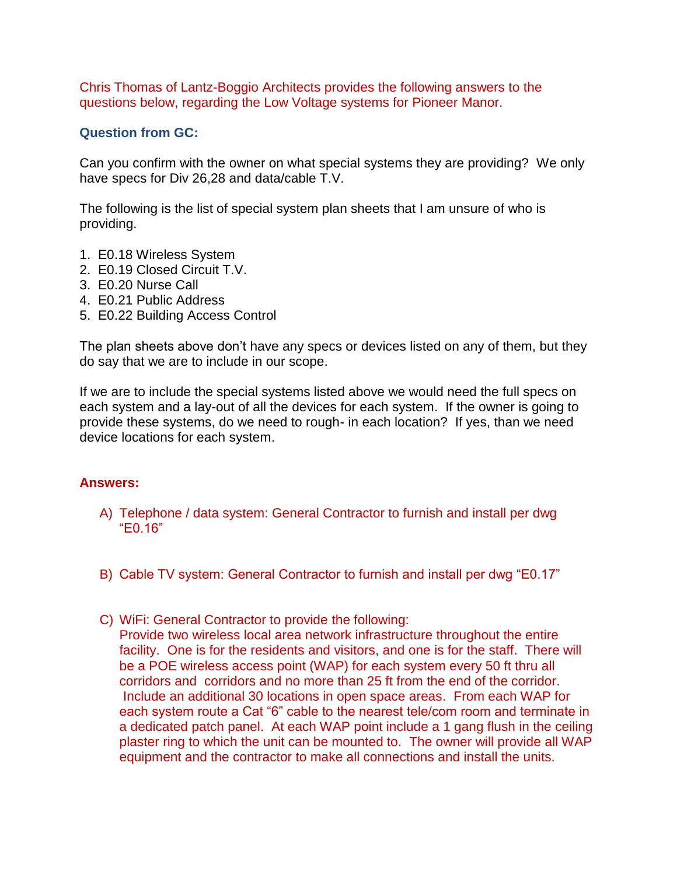Chris Thomas of Lantz-Boggio Architects provides the following answers to the questions below, regarding the Low Voltage systems for Pioneer Manor.

## **Question from GC:**

Can you confirm with the owner on what special systems they are providing? We only have specs for Div 26,28 and data/cable T.V.

The following is the list of special system plan sheets that I am unsure of who is providing.

- 1. E0.18 Wireless System
- 2. E0.19 Closed Circuit T.V.
- 3. E0.20 Nurse Call
- 4. E0.21 Public Address
- 5. E0.22 Building Access Control

The plan sheets above don't have any specs or devices listed on any of them, but they do say that we are to include in our scope.

If we are to include the special systems listed above we would need the full specs on each system and a lay-out of all the devices for each system. If the owner is going to provide these systems, do we need to rough- in each location? If yes, than we need device locations for each system.

## **Answers:**

- A) Telephone / data system: General Contractor to furnish and install per dwg "E0.16"
- B) Cable TV system: General Contractor to furnish and install per dwg "E0.17"
- C) WiFi: General Contractor to provide the following: Provide two wireless local area network infrastructure throughout the entire facility. One is for the residents and visitors, and one is for the staff. There will be a POE wireless access point (WAP) for each system every 50 ft thru all corridors and corridors and no more than 25 ft from the end of the corridor. Include an additional 30 locations in open space areas. From each WAP for each system route a Cat "6" cable to the nearest tele/com room and terminate in a dedicated patch panel. At each WAP point include a 1 gang flush in the ceiling plaster ring to which the unit can be mounted to. The owner will provide all WAP equipment and the contractor to make all connections and install the units.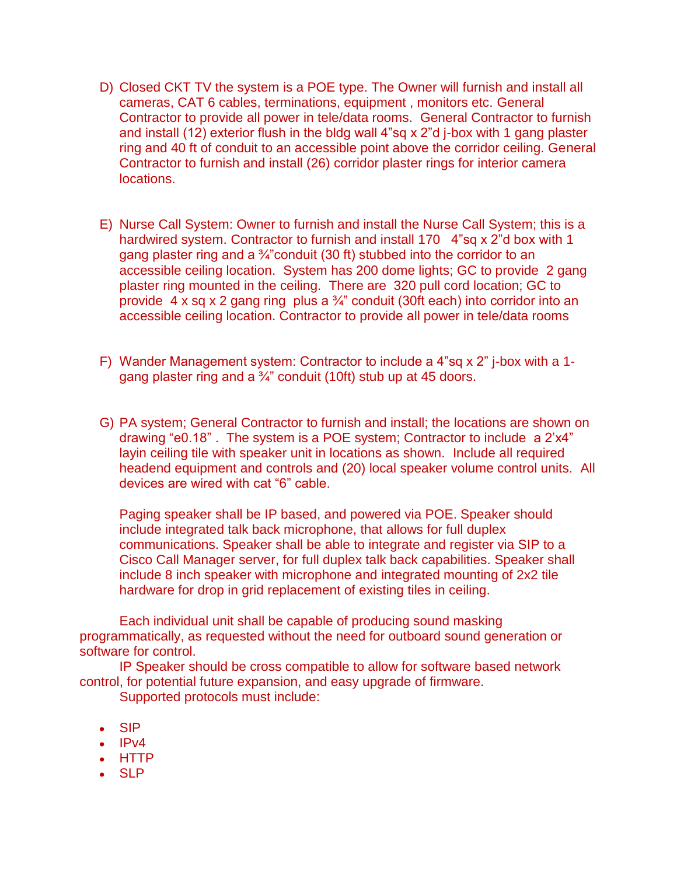- D) Closed CKT TV the system is a POE type. The Owner will furnish and install all cameras, CAT 6 cables, terminations, equipment , monitors etc. General Contractor to provide all power in tele/data rooms. General Contractor to furnish and install (12) exterior flush in the bldg wall 4"sq x 2"d j-box with 1 gang plaster ring and 40 ft of conduit to an accessible point above the corridor ceiling. General Contractor to furnish and install (26) corridor plaster rings for interior camera locations.
- E) Nurse Call System: Owner to furnish and install the Nurse Call System; this is a hardwired system. Contractor to furnish and install 170 4"sq x 2"d box with 1 gang plaster ring and a  $\frac{3}{4}$ "conduit (30 ft) stubbed into the corridor to an accessible ceiling location. System has 200 dome lights; GC to provide 2 gang plaster ring mounted in the ceiling. There are 320 pull cord location; GC to provide  $4 \times$  sq x 2 gang ring plus a  $\frac{3}{4}$  conduit (30ft each) into corridor into an accessible ceiling location. Contractor to provide all power in tele/data rooms
- F) Wander Management system: Contractor to include a 4"sq x 2" j-box with a 1 gang plaster ring and a  $\frac{3}{4}$ " conduit (10ft) stub up at 45 doors.
- G) PA system; General Contractor to furnish and install; the locations are shown on drawing "e0.18" . The system is a POE system; Contractor to include a 2'x4" layin ceiling tile with speaker unit in locations as shown. Include all required headend equipment and controls and (20) local speaker volume control units. All devices are wired with cat "6" cable.

Paging speaker shall be IP based, and powered via POE. Speaker should include integrated talk back microphone, that allows for full duplex communications. Speaker shall be able to integrate and register via SIP to a Cisco Call Manager server, for full duplex talk back capabilities. Speaker shall include 8 inch speaker with microphone and integrated mounting of 2x2 tile hardware for drop in grid replacement of existing tiles in ceiling.

Each individual unit shall be capable of producing sound masking programmatically, as requested without the need for outboard sound generation or software for control.

IP Speaker should be cross compatible to allow for software based network control, for potential future expansion, and easy upgrade of firmware.

Supported protocols must include:

- SIP
- $\cdot$  IPv4
- HTTP
- SLP